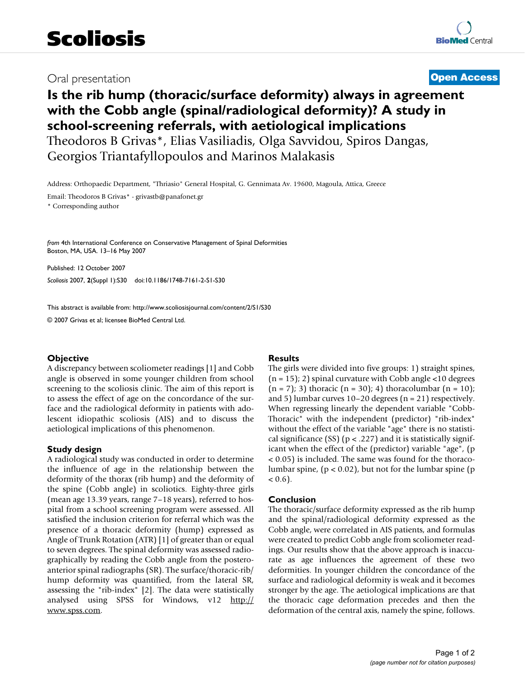## Oral presentation **[Open Access](http://www.biomedcentral.com/info/about/charter/)**

# **Is the rib hump (thoracic/surface deformity) always in agreement with the Cobb angle (spinal/radiological deformity)? A study in school-screening referrals, with aetiological implications** Theodoros B Grivas\*, Elias Vasiliadis, Olga Savvidou, Spiros Dangas,

Georgios Triantafyllopoulos and Marinos Malakasis

Address: Orthopaedic Department, "Thriasio" General Hospital, G. Gennimata Av. 19600, Magoula, Attica, Greece

Email: Theodoros B Grivas\* - grivastb@panafonet.gr \* Corresponding author

*from* 4th International Conference on Conservative Management of Spinal Deformities Boston, MA, USA. 13–16 May 2007

Published: 12 October 2007 *Scoliosis* 2007, **2**(Suppl 1):S30 doi:10.1186/1748-7161-2-S1-S30

[This abstract is available from: http://www.scoliosisjournal.com/content/2/S1/S30](http://www.scoliosisjournal.com/content/2/S1/S30)

© 2007 Grivas et al; licensee BioMed Central Ltd.

### **Objective**

A discrepancy between scoliometer readings [1] and Cobb angle is observed in some younger children from school screening to the scoliosis clinic. The aim of this report is to assess the effect of age on the concordance of the surface and the radiological deformity in patients with adolescent idiopathic scoliosis (AIS) and to discuss the aetiological implications of this phenomenon.

### **Study design**

A radiological study was conducted in order to determine the influence of age in the relationship between the deformity of the thorax (rib hump) and the deformity of the spine (Cobb angle) in scoliotics. Eighty-three girls (mean age 13.39 years, range 7–18 years), referred to hospital from a school screening program were assessed. All satisfied the inclusion criterion for referral which was the presence of a thoracic deformity (hump) expressed as Angle of Trunk Rotation (ATR) [1] of greater than or equal to seven degrees. The spinal deformity was assessed radiographically by reading the Cobb angle from the posteroanterior spinal radiographs (SR). The surface/thoracic-rib/ hump deformity was quantified, from the lateral SR, assessing the "rib-index" [2]. The data were statistically analysed using SPSS for Windows, v12 [http://](http://www.spss.com) [www.spss.com](http://www.spss.com).

### **Results**

The girls were divided into five groups: 1) straight spines,  $(n = 15)$ ; 2) spinal curvature with Cobb angle <10 degrees  $(n = 7)$ ; 3) thoracic  $(n = 30)$ ; 4) thoracolumbar  $(n = 10)$ ; and 5) lumbar curves 10–20 degrees (n = 21) respectively. When regressing linearly the dependent variable "Cobb-Thoracic" with the independent (predictor) "rib-index" without the effect of the variable "age" there is no statistical significance (SS) ( $p < .227$ ) and it is statistically significant when the effect of the (predictor) variable "age", (p < 0.05) is included. The same was found for the thoracolumbar spine,  $(p < 0.02)$ , but not for the lumbar spine  $(p$  $< 0.6$ ).

### **Conclusion**

The thoracic/surface deformity expressed as the rib hump and the spinal/radiological deformity expressed as the Cobb angle, were correlated in AIS patients, and formulas were created to predict Cobb angle from scoliometer readings. Our results show that the above approach is inaccurate as age influences the agreement of these two deformities. In younger children the concordance of the surface and radiological deformity is weak and it becomes stronger by the age. The aetiological implications are that the thoracic cage deformation precedes and then the deformation of the central axis, namely the spine, follows.